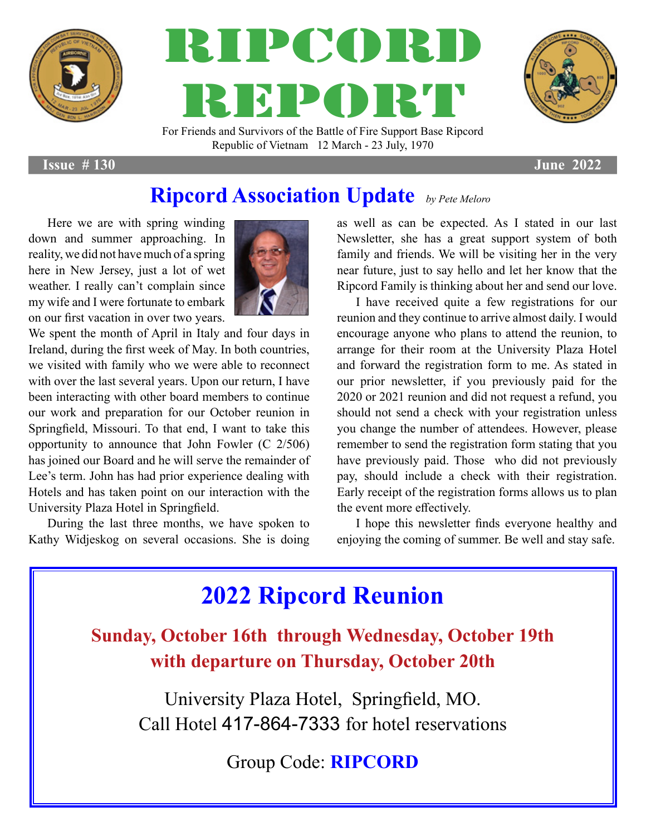





For Friends and Survivors of the Battle of Fire Support Base Ripcord Republic of Vietnam 12 March - 23 July, 1970

**Issue # 130 June 2022**

# **Ripcord Association Update** *by Pete Meloro*

Here we are with spring winding down and summer approaching. In reality, we did not have much of a spring here in New Jersey, just a lot of wet weather. I really can't complain since my wife and I were fortunate to embark on our first vacation in over two years.



We spent the month of April in Italy and four days in Ireland, during the first week of May. In both countries, we visited with family who we were able to reconnect with over the last several years. Upon our return, I have been interacting with other board members to continue our work and preparation for our October reunion in Springfield, Missouri. To that end, I want to take this opportunity to announce that John Fowler (C 2/506) has joined our Board and he will serve the remainder of Lee's term. John has had prior experience dealing with Hotels and has taken point on our interaction with the University Plaza Hotel in Springfield.

During the last three months, we have spoken to Kathy Widjeskog on several occasions. She is doing as well as can be expected. As I stated in our last Newsletter, she has a great support system of both family and friends. We will be visiting her in the very near future, just to say hello and let her know that the Ripcord Family is thinking about her and send our love.

I have received quite a few registrations for our reunion and they continue to arrive almost daily. I would encourage anyone who plans to attend the reunion, to arrange for their room at the University Plaza Hotel and forward the registration form to me. As stated in our prior newsletter, if you previously paid for the 2020 or 2021 reunion and did not request a refund, you should not send a check with your registration unless you change the number of attendees. However, please remember to send the registration form stating that you have previously paid. Those who did not previously pay, should include a check with their registration. Early receipt of the registration forms allows us to plan the event more effectively.

I hope this newsletter finds everyone healthy and enjoying the coming of summer. Be well and stay safe.

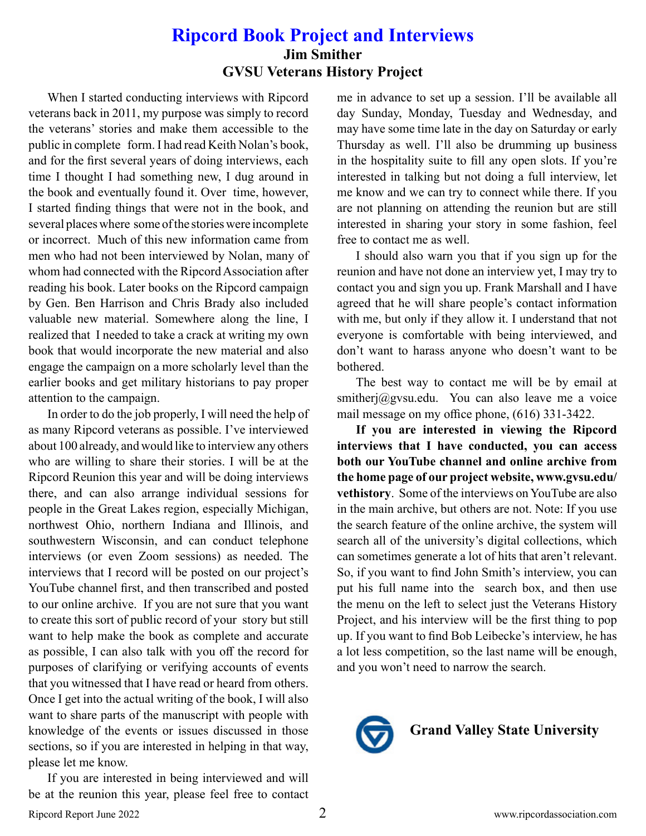### **Ripcord Book Project and Interviews Jim Smither GVSU Veterans History Project**

When I started conducting interviews with Ripcord veterans back in 2011, my purpose was simply to record the veterans' stories and make them accessible to the public in complete form. I had read Keith Nolan's book, and for the first several years of doing interviews, each time I thought I had something new, I dug around in the book and eventually found it. Over time, however, I started finding things that were not in the book, and several places where some of the stories were incomplete or incorrect. Much of this new information came from men who had not been interviewed by Nolan, many of whom had connected with the Ripcord Association after reading his book. Later books on the Ripcord campaign by Gen. Ben Harrison and Chris Brady also included valuable new material. Somewhere along the line, I realized that I needed to take a crack at writing my own book that would incorporate the new material and also engage the campaign on a more scholarly level than the earlier books and get military historians to pay proper attention to the campaign.

In order to do the job properly, I will need the help of as many Ripcord veterans as possible. I've interviewed about 100 already, and would like to interview any others who are willing to share their stories. I will be at the Ripcord Reunion this year and will be doing interviews there, and can also arrange individual sessions for people in the Great Lakes region, especially Michigan, northwest Ohio, northern Indiana and Illinois, and southwestern Wisconsin, and can conduct telephone interviews (or even Zoom sessions) as needed. The interviews that I record will be posted on our project's YouTube channel first, and then transcribed and posted to our online archive. If you are not sure that you want to create this sort of public record of your story but still want to help make the book as complete and accurate as possible, I can also talk with you off the record for purposes of clarifying or verifying accounts of events that you witnessed that I have read or heard from others. Once I get into the actual writing of the book, I will also want to share parts of the manuscript with people with knowledge of the events or issues discussed in those sections, so if you are interested in helping in that way, please let me know.

If you are interested in being interviewed and will be at the reunion this year, please feel free to contact

me in advance to set up a session. I'll be available all day Sunday, Monday, Tuesday and Wednesday, and may have some time late in the day on Saturday or early Thursday as well. I'll also be drumming up business in the hospitality suite to fill any open slots. If you're interested in talking but not doing a full interview, let me know and we can try to connect while there. If you are not planning on attending the reunion but are still interested in sharing your story in some fashion, feel free to contact me as well.

I should also warn you that if you sign up for the reunion and have not done an interview yet, I may try to contact you and sign you up. Frank Marshall and I have agreed that he will share people's contact information with me, but only if they allow it. I understand that not everyone is comfortable with being interviewed, and don't want to harass anyone who doesn't want to be bothered.

The best way to contact me will be by email at [smitherj@gvsu.edu.](mailto:smitherj@gvsu.edu) You can also leave me a voice mail message on my office phone, (616) 331-3422.

**If you are interested in viewing the Ripcord interviews that I have conducted, you can access both our YouTube channel and online archive from the home page of our project website, [www.gvsu.edu/](http://www.gvsu.edu/vethistory) [vethistory](http://www.gvsu.edu/vethistory)**. Some of the interviews on YouTube are also in the main archive, but others are not. Note: If you use the search feature of the online archive, the system will search all of the university's digital collections, which can sometimes generate a lot of hits that aren't relevant. So, if you want to find John Smith's interview, you can put his full name into the search box, and then use the menu on the left to select just the Veterans History Project, and his interview will be the first thing to pop up. If you want to find Bob Leibecke's interview, he has a lot less competition, so the last name will be enough, and you won't need to narrow the search.

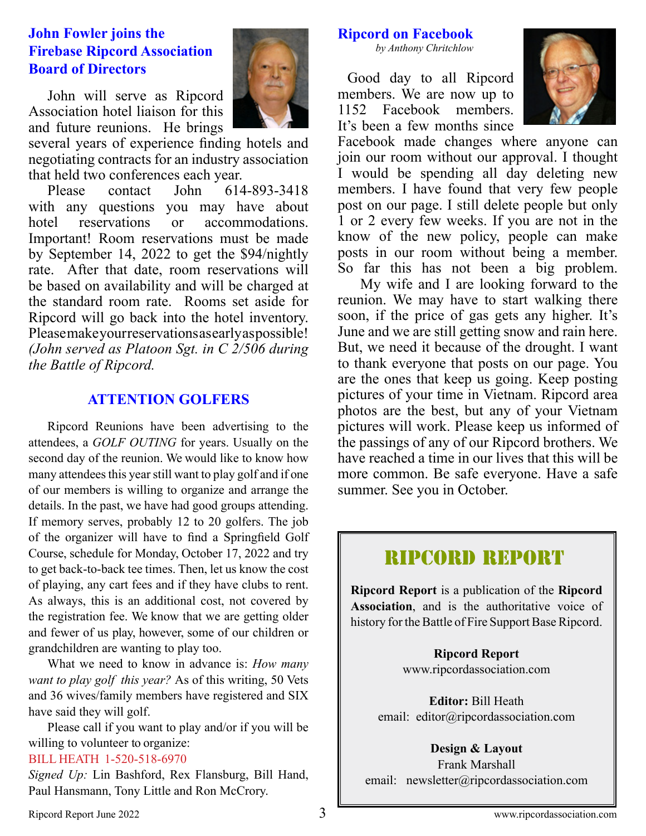### **John Fowler joins the Firebase Ripcord Association Board of Directors**

John will serve as Ripcord Association hotel liaison for this and future reunions. He brings



several years of experience finding hotels and negotiating contracts for an industry association that held two conferences each year.

Please contact John 614-893-3418 with any questions you may have about hotel reservations or accommodations. Important! Room reservations must be made by September 14, 2022 to get the \$94/nightly rate. After that date, room reservations will be based on availability and will be charged at the standard room rate. Rooms set aside for Ripcord will go back into the hotel inventory. Please make your reservations as early as possible! *(John served as Platoon Sgt. in C 2/506 during the Battle of Ripcord.*

### **ATTENTION GOLFERS**

Ripcord Reunions have been advertising to the attendees, a *GOLF OUTING* for years. Usually on the second day of the reunion. We would like to know how many attendees this year still want to play golf and if one of our members is willing to organize and arrange the details. In the past, we have had good groups attending. If memory serves, probably 12 to 20 golfers. The job of the organizer will have to find a Springfield Golf Course, schedule for Monday, October 17, 2022 and try to get back-to-back tee times. Then, let us know the cost of playing, any cart fees and if they have clubs to rent. As always, this is an additional cost, not covered by the registration fee. We know that we are getting older and fewer of us play, however, some of our children or grandchildren are wanting to play too.

What we need to know in advance is: *How many want to play golf this year?* As of this writing, 50 Vets and 36 wives/family members have registered and SIX have said they will golf.

Please call if you want to play and/or if you will be willing to volunteer to organize:

#### BILL HEATH 1-520-518-6970

*Signed Up:* Lin Bashford, Rex Flansburg, Bill Hand, Paul Hansmann, Tony Little and Ron McCrory.

#### **Ripcord on Facebook**

*by Anthony Chritchlow*

 Good day to all Ripcord members. We are now up to 1152 Facebook members. It's been a few months since



Facebook made changes where anyone can join our room without our approval. I thought I would be spending all day deleting new members. I have found that very few people post on our page. I still delete people but only 1 or 2 every few weeks. If you are not in the know of the new policy, people can make posts in our room without being a member. So far this has not been a big problem.

 My wife and I are looking forward to the reunion. We may have to start walking there soon, if the price of gas gets any higher. It's June and we are still getting snow and rain here. But, we need it because of the drought. I want to thank everyone that posts on our page. You are the ones that keep us going. Keep posting pictures of your time in Vietnam. Ripcord area photos are the best, but any of your Vietnam pictures will work. Please keep us informed of the passings of any of our Ripcord brothers. We have reached a time in our lives that this will be more common. Be safe everyone. Have a safe summer. See you in October.

## Ripcord report

**Ripcord Report** is a publication of the **Ripcord Association**, and is the authoritative voice of history for the Battle of Fire Support Base Ripcord.

> **Ripcord Report** www.ripcordassociation.com

**Editor:** Bill Heath email: editor@ripcordassociation.com

**Design & Layout** Frank Marshall email: newsletter@ripcordassociation.com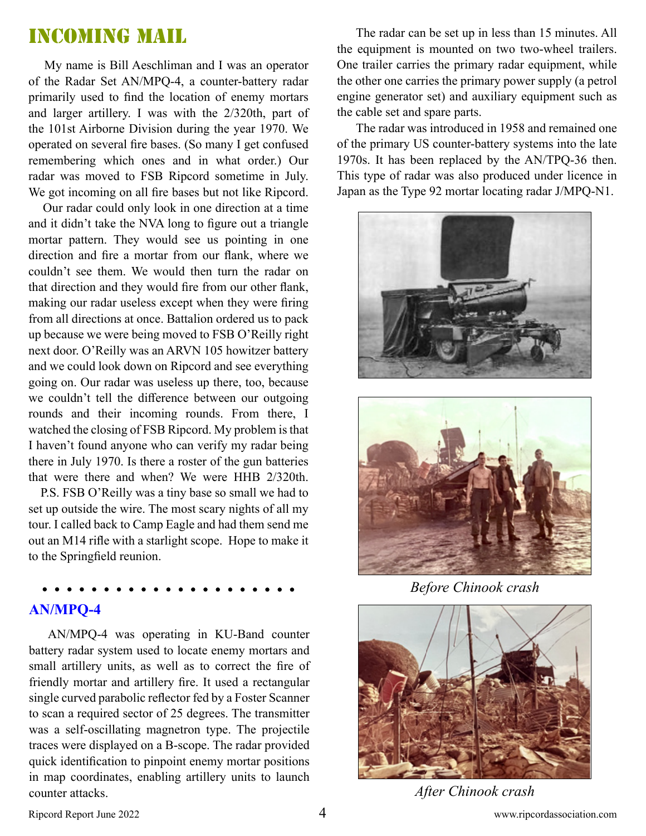# incoming mail

 My name is Bill Aeschliman and I was an operator of the Radar Set AN/MPQ-4, a counter-battery radar primarily used to find the location of enemy mortars and larger artillery. I was with the 2/320th, part of the 101st Airborne Division during the year 1970. We operated on several fire bases. (So many I get confused remembering which ones and in what order.) Our radar was moved to FSB Ripcord sometime in July. We got incoming on all fire bases but not like Ripcord.

 Our radar could only look in one direction at a time and it didn't take the NVA long to figure out a triangle mortar pattern. They would see us pointing in one direction and fire a mortar from our flank, where we couldn't see them. We would then turn the radar on that direction and they would fire from our other flank, making our radar useless except when they were firing from all directions at once. Battalion ordered us to pack up because we were being moved to FSB O'Reilly right next door. O'Reilly was an ARVN 105 howitzer battery and we could look down on Ripcord and see everything going on. Our radar was useless up there, too, because we couldn't tell the difference between our outgoing rounds and their incoming rounds. From there, I watched the closing of FSB Ripcord. My problem is that I haven't found anyone who can verify my radar being there in July 1970. Is there a roster of the gun batteries that were there and when? We were HHB 2/320th.

 P.S. FSB O'Reilly was a tiny base so small we had to set up outside the wire. The most scary nights of all my tour. I called back to Camp Eagle and had them send me out an M14 rifle with a starlight scope. Hope to make it to the Springfield reunion.

# **AN/MPQ-4**

AN/MPQ-4 was operating in KU-Band counter battery radar system used to locate enemy mortars and small artillery units, as well as to correct the fire of friendly mortar and artillery fire. It used a rectangular single curved parabolic reflector fed by a Foster Scanner to scan a required sector of 25 degrees. The transmitter was a self-oscillating magnetron type. The projectile traces were displayed on a B-scope. The radar provided quick identification to pinpoint enemy mortar positions in map coordinates, enabling artillery units to launch counter attacks.

The radar can be set up in less than 15 minutes. All the equipment is mounted on two two-wheel trailers. One trailer carries the primary radar equipment, while the other one carries the primary power supply (a petrol engine generator set) and auxiliary equipment such as the cable set and spare parts.

The radar was introduced in 1958 and remained one of the primary US counter-battery systems into the late 1970s. It has been replaced by the AN/TPQ-36 then. This type of radar was also produced under licence in Japan as the Type 92 mortar locating radar J/MPQ-N1.





*Before Chinook crash*



*After Chinook crash*

Ripcord Report June 2022 4 Www.ripcordassociation.com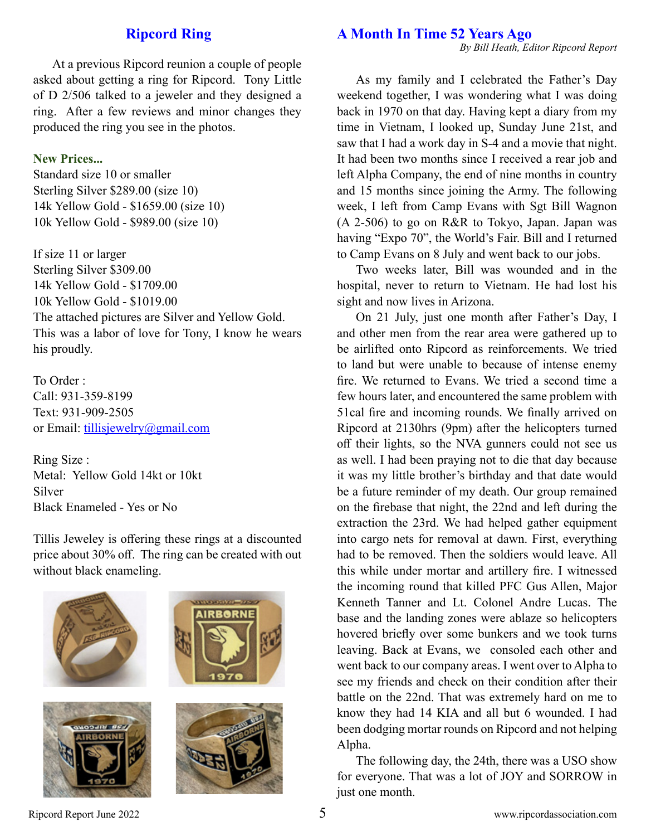### **Ripcord Ring**

At a previous Ripcord reunion a couple of people asked about getting a ring for Ripcord. Tony Little of D 2/506 talked to a jeweler and they designed a ring. After a few reviews and minor changes they produced the ring you see in the photos.

#### **New Prices...**

Standard size 10 or smaller Sterling Silver \$289.00 (size 10) 14k Yellow Gold - \$1659.00 (size 10) 10k Yellow Gold - \$989.00 (size 10)

If size 11 or larger Sterling Silver \$309.00 14k Yellow Gold - \$1709.00 10k Yellow Gold - \$1019.00 The attached pictures are Silver and Yellow Gold. This was a labor of love for Tony, I know he wears his proudly.

To Order : Call: 931-359-8199 Text: 931-909-2505 or Email: [tillisjewelry@gmail.com](mailto:tillisjewelry@gmail.com)

Ring Size : Metal: Yellow Gold 14kt or 10kt Silver Black Enameled - Yes or No

Tillis Jeweley is offering these rings at a discounted price about 30% off. The ring can be created with out without black enameling.



### **A Month In Time 52 Years Ago**

*By Bill Heath, Editor Ripcord Report*

As my family and I celebrated the Father's Day weekend together, I was wondering what I was doing back in 1970 on that day. Having kept a diary from my time in Vietnam, I looked up, Sunday June 21st, and saw that I had a work day in S-4 and a movie that night. It had been two months since I received a rear job and left Alpha Company, the end of nine months in country and 15 months since joining the Army. The following week, I left from Camp Evans with Sgt Bill Wagnon (A 2-506) to go on R&R to Tokyo, Japan. Japan was having "Expo 70", the World's Fair. Bill and I returned to Camp Evans on 8 July and went back to our jobs.

Two weeks later, Bill was wounded and in the hospital, never to return to Vietnam. He had lost his sight and now lives in Arizona.

On 21 July, just one month after Father's Day, I and other men from the rear area were gathered up to be airlifted onto Ripcord as reinforcements. We tried to land but were unable to because of intense enemy fire. We returned to Evans. We tried a second time a few hours later, and encountered the same problem with 51cal fire and incoming rounds. We finally arrived on Ripcord at 2130hrs (9pm) after the helicopters turned off their lights, so the NVA gunners could not see us as well. I had been praying not to die that day because it was my little brother's birthday and that date would be a future reminder of my death. Our group remained on the firebase that night, the 22nd and left during the extraction the 23rd. We had helped gather equipment into cargo nets for removal at dawn. First, everything had to be removed. Then the soldiers would leave. All this while under mortar and artillery fire. I witnessed the incoming round that killed PFC Gus Allen, Major Kenneth Tanner and Lt. Colonel Andre Lucas. The base and the landing zones were ablaze so helicopters hovered briefly over some bunkers and we took turns leaving. Back at Evans, we consoled each other and went back to our company areas. I went over to Alpha to see my friends and check on their condition after their battle on the 22nd. That was extremely hard on me to know they had 14 KIA and all but 6 wounded. I had been dodging mortar rounds on Ripcord and not helping Alpha.

The following day, the 24th, there was a USO show for everyone. That was a lot of JOY and SORROW in just one month.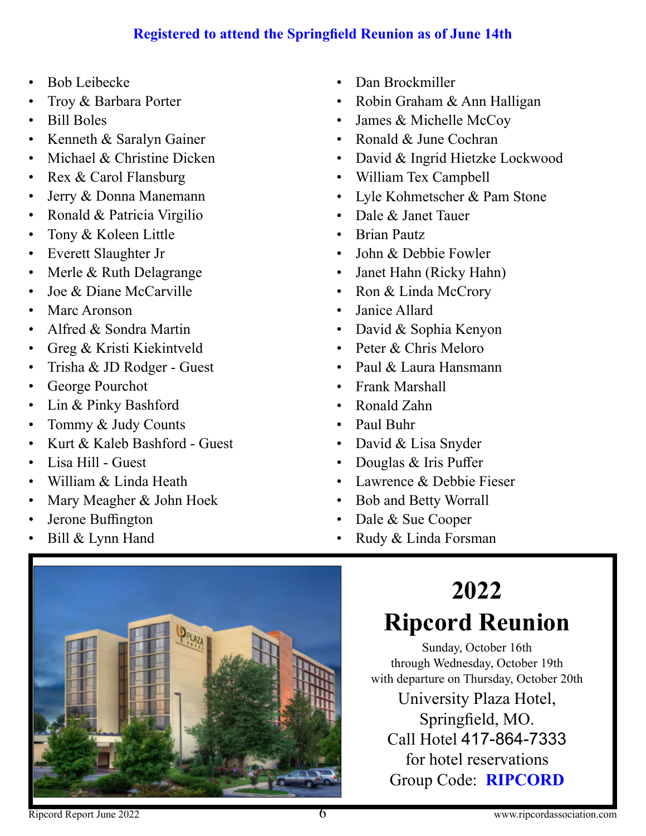### **Registered to attend the Springfield Reunion as of June 14th**

- Bob Leibecke
- Troy & Barbara Porter
- Bill Boles
- Kenneth & Saralyn Gainer
- Michael & Christine Dicken
- Rex & Carol Flansburg
- Jerry & Donna Manemann
- Ronald & Patricia Virgilio
- Tony & Koleen Little
- Everett Slaughter Jr
- Merle & Ruth Delagrange
- Joe & Diane McCarville
- Marc Aronson
- Alfred & Sondra Martin
- Greg & Kristi Kiekintveld
- Trisha & JD Rodger Guest
- George Pourchot
- Lin & Pinky Bashford
- Tommy & Judy Counts
- Kurt & Kaleb Bashford Guest
- Lisa Hill Guest
- William & Linda Heath
- Mary Meagher & John Hoek
- Jerone Buffington
- Bill & Lynn Hand
- Dan Brockmiller
- Robin Graham & Ann Halligan
- James & Michelle McCoy
- Ronald & June Cochran
- David & Ingrid Hietzke Lockwood
- William Tex Campbell
- Lyle Kohmetscher & Pam Stone
- Dale & Janet Tauer
- Brian Pautz
- John & Debbie Fowler
- Janet Hahn (Ricky Hahn)
- Ron & Linda McCrory
- Janice Allard
- David & Sophia Kenyon
- Peter & Chris Meloro
- Paul & Laura Hansmann
- Frank Marshall
- Ronald Zahn
- Paul Buhr
- David & Lisa Snyder
- Douglas & Iris Puffer
- Lawrence & Debbie Fieser
- Bob and Betty Worrall
- Dale & Sue Cooper
- Rudy & Linda Forsman



# **2022 Ripcord Reunion**

Sunday, October 16th through Wednesday, October 19th with departure on Thursday, October 20th

University Plaza Hotel, Springfield, MO. Call Hotel 417-864-7333 for hotel reservations Group Code: **RIPCORD**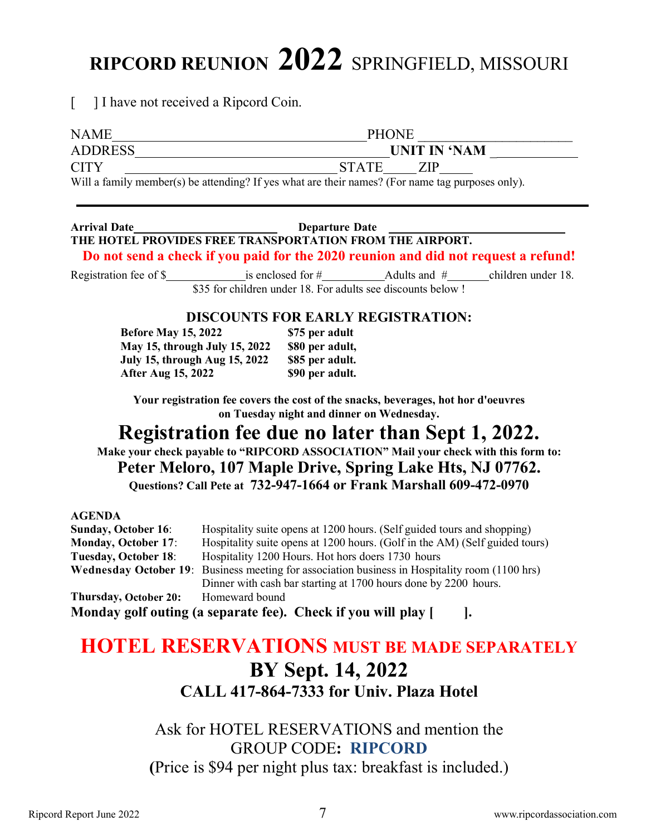# **RIPCORD REUNION 2022** SPRINGFIELD, MISSOURI

[ ] I have not received a Ripcord Coin.

| NAME    | <b>PHONE</b>                                                                                     |
|---------|--------------------------------------------------------------------------------------------------|
| ADDRESS | UNIT IN 'NAM                                                                                     |
| CITY    | <b>STATE</b><br>/IP                                                                              |
|         | Will a family member(s) be attending? If yes what are their names? (For name tag purposes only). |

### **Arrival Date Departure Date THE HOTEL PROVIDES FREE TRANSPORTATION FROM THE AIRPORT. Do not send a check if you paid for the 2020 reunion and did not request a refund!**

Registration fee of  $\frac{\sqrt{3}}{2}$  is enclosed for  $\frac{\pi}{2}$  Adults and  $\frac{\pi}{2}$  children under 18. \$35 for children under 18. For adults see discounts below !

### **DISCOUNTS FOR EARLY REGISTRATION:**

| <b>Before May 15, 2022</b>           | \$75 per adult  |
|--------------------------------------|-----------------|
| <b>May 15, through July 15, 2022</b> | \$80 per adult, |
| July 15, through Aug 15, 2022        | \$85 per adult. |
| After Aug 15, 2022                   | \$90 per adult. |

**Your registration fee covers the cost of the snacks, beverages, hot hor d'oeuvres on Tuesday night and dinner on Wednesday.**

### **Registration fee due no later than Sept 1, 2022. Make your check payable to "RIPCORD ASSOCIATION" Mail your check with this form to: Peter Meloro, 107 Maple Drive, Spring Lake Hts, NJ 07762. Questions? Call Pete at 732-947-1664 or Frank Marshall 609-472-0970**

**AGENDA**

| <b>Sunday, October 16:</b>                                    | Hospitality suite opens at 1200 hours. (Self guided tours and shopping)                               |  |
|---------------------------------------------------------------|-------------------------------------------------------------------------------------------------------|--|
| <b>Monday, October 17:</b>                                    | Hospitality suite opens at 1200 hours. (Golf in the AM) (Self guided tours)                           |  |
| <b>Tuesday, October 18:</b>                                   | Hospitality 1200 Hours. Hot hors doers 1730 hours                                                     |  |
|                                                               | <b>Wednesday October 19:</b> Business meeting for association business in Hospitality room (1100 hrs) |  |
|                                                               | Dinner with cash bar starting at 1700 hours done by 2200 hours.                                       |  |
| <b>Thursday, October 20:</b>                                  | Homeward bound                                                                                        |  |
| Monday golf outing (a separate fee). Check if you will play [ |                                                                                                       |  |

# **HOTEL RESERVATIONS MUST BE MADE SEPARATELY BY Sept. 14, 2022 CALL 417-864-7333 for Univ. Plaza Hotel**

Ask for HOTEL RESERVATIONS and mention the GROUP CODE**: RIPCORD (**Price is \$94 per night plus tax: breakfast is included.)